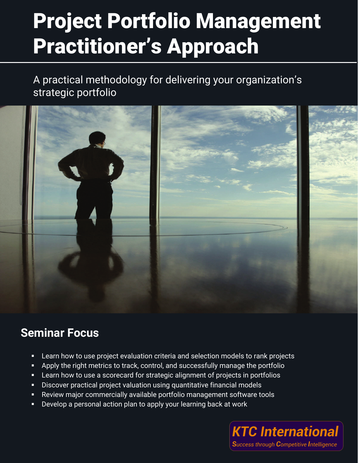A practical methodology for delivering your organization's strategic portfolio



### **Seminar Focus**

- Learn how to use project evaluation criteria and selection models to rank projects
- Apply the right metrics to track, control, and successfully manage the portfolio
- Learn how to use a scorecard for strategic alignment of projects in portfolios
- Discover practical project valuation using quantitative financial models
- Review major commercially available portfolio management software tools
- Develop a personal action plan to apply your learning back at work

**KTC International Success through Competitive Intelligence**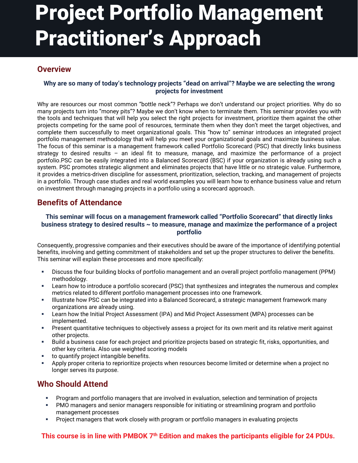#### **Overview**

#### **Why are so many of today's technology projects "dead on arrival"? Maybe we are selecting the wrong projects for investment**

Why are resources our most common "bottle neck"? Perhaps we don't understand our project priorities. Why do so many projects turn into "money pits"? Maybe we don't know when to terminate them. This seminar provides you with the tools and techniques that will help you select the right projects for investment, prioritize them against the other projects competing for the same pool of resources, terminate them when they don't meet the target objectives, and complete them successfully to meet organizational goals. This "how to" seminar introduces an integrated project portfolio management methodology that will help you meet your organizational goals and maximize business value. The focus of this seminar is a management framework called Portfolio Scorecard (PSC) that directly links business strategy to desired results – an ideal fit to measure, manage, and maximize the performance of a project portfolio.PSC can be easily integrated into a Balanced Scorecard (BSC) if your organization is already using such a system. PSC promotes strategic alignment and eliminates projects that have little or no strategic value. Furthermore, it provides a metrics-driven discipline for assessment, prioritization, selection, tracking, and management of projects in a portfolio. Through case studies and real world examples you will learn how to enhance business value and return on investment through managing projects in a portfolio using a scorecard approach.

#### **Benefits of Attendance**

#### **This seminar will focus on a management framework called "Portfolio Scorecard" that directly links business strategy to desired results ~ to measure, manage and maximize the performance of a project portfolio**

Consequently, progressive companies and their executives should be aware of the importance of identifying potential benefits, involving and getting commitment of stakeholders and set up the proper structures to deliver the benefits. This seminar will explain these processes and more specifically:

- Discuss the four building blocks of portfolio management and an overall project portfolio management (PPM) methodology.
- Learn how to introduce a portfolio scorecard (PSC) that synthesizes and integrates the numerous and complex metrics related to different portfolio management processes into one framework.
- Illustrate how PSC can be integrated into a Balanced Scorecard, a strategic management framework many organizations are already using.
- Learn how the Initial Project Assessment (IPA) and Mid Project Assessment (MPA) processes can be implemented.
- Present quantitative techniques to objectively assess a project for its own merit and its relative merit against other projects.
- Build a business case for each project and prioritize projects based on strategic fit, risks, opportunities, and other key criteria. Also use weighted scoring models
- to quantify project intangible benefits.
- Apply proper criteria to reprioritize projects when resources become limited or determine when a project no longer serves its purpose.

#### **Who Should Attend**

- Program and portfolio managers that are involved in evaluation, selection and termination of projects
- PMO managers and senior managers responsible for initiating or streamlining program and portfolio management processes
- Project managers that work closely with program or portfolio managers in evaluating projects

#### **This course is in line with PMBOK** 7<sup>th</sup> Edition and makes the participants eligible for 24 PDUs.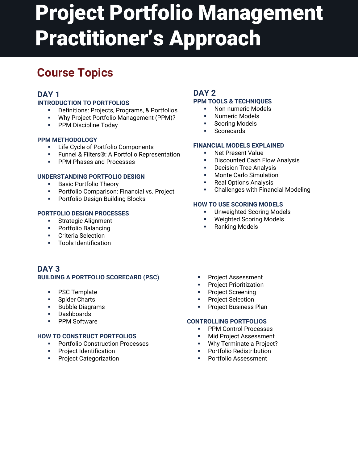### **Course Topics**

### **DAY 1**

#### **INTRODUCTION TO PORTFOLIOS**

- Definitions: Projects, Programs, & Portfolios
- Why Project Portfolio Management (PPM)?
- **PPM Discipline Today**

#### **PPM METHODOLOGY**

- **EXEC 1** Life Cycle of Portfolio Components
- Funnel & Filters®: A Portfolio Representation
- **PPM Phases and Processes**

#### **UNDERSTANDING PORTFOLIO DESIGN**

- **Basic Portfolio Theory**
- **Portfolio Comparison: Financial vs. Project**
- **Portfolio Design Building Blocks**

#### **PORTFOLIO DESIGN PROCESSES**

- **Strategic Alignment**
- **•** Portfolio Balancing
- **•** Criteria Selection
- **Tools Identification**

#### **DAY 3 BUILDING A PORTFOLIO SCORECARD (PSC)**

- PSC Template
- **Spider Charts**
- **Bubble Diagrams**
- Dashboards
- **PPM Software**

#### **HOW TO CONSTRUCT PORTFOLIOS**

- **Portfolio Construction Processes**
- **Project Identification**
- **Project Categorization**

#### **DAY 2 PPM TOOLS & TECHNIQUES**

#### **Non-numeric Models**

- Numeric Models
- Scoring Models
- **Scorecards**

#### **FINANCIAL MODELS EXPLAINED**

- **Net Present Value**
- Discounted Cash Flow Analysis
- **Decision Tree Analysis**
- Monte Carlo Simulation
- Real Options Analysis
- Challenges with Financial Modeling

#### **HOW TO USE SCORING MODELS**

- Unweighted Scoring Models
- Weighted Scoring Models
- **Ranking Models**
- **Project Assessment**
- **•** Project Prioritization
- **•** Project Screening
- **•** Project Selection
- **•** Project Business Plan

#### **CONTROLLING PORTFOLIOS**

- **PPM Control Processes**
- **Nid Project Assessment**
- **Why Terminate a Project?**
- **•** Portfolio Redistribution
- **Portfolio Assessment**